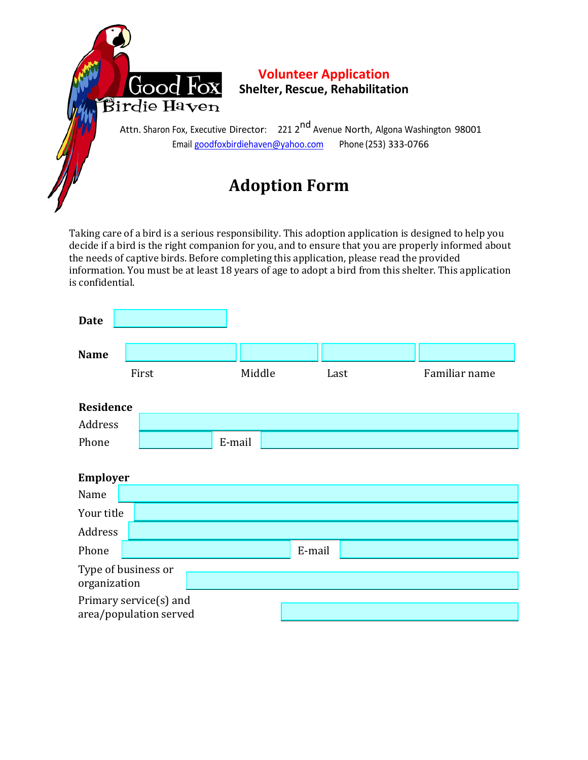

Taking care of a bird is a serious responsibility. This adoption application is designed to help you decide if a bird is the right companion for you, and to ensure that you are properly informed about the needs of captive birds. Before completing this application, please read the provided information. You must be at least 18 years of age to adopt a bird from this shelter. This application is confidential.

| <b>Date</b>                         |                        |        |        |      |               |
|-------------------------------------|------------------------|--------|--------|------|---------------|
|                                     |                        |        |        |      |               |
| <b>Name</b>                         |                        |        |        |      |               |
|                                     | First                  | Middle |        | Last | Familiar name |
|                                     |                        |        |        |      |               |
| <b>Residence</b>                    |                        |        |        |      |               |
| Address                             |                        |        |        |      |               |
| Phone                               |                        | E-mail |        |      |               |
|                                     |                        |        |        |      |               |
| <b>Employer</b>                     |                        |        |        |      |               |
| Name                                |                        |        |        |      |               |
| Your title                          |                        |        |        |      |               |
| Address                             |                        |        |        |      |               |
| Phone                               |                        |        | E-mail |      |               |
| Type of business or<br>organization |                        |        |        |      |               |
| Primary service(s) and              |                        |        |        |      |               |
|                                     | area/population served |        |        |      |               |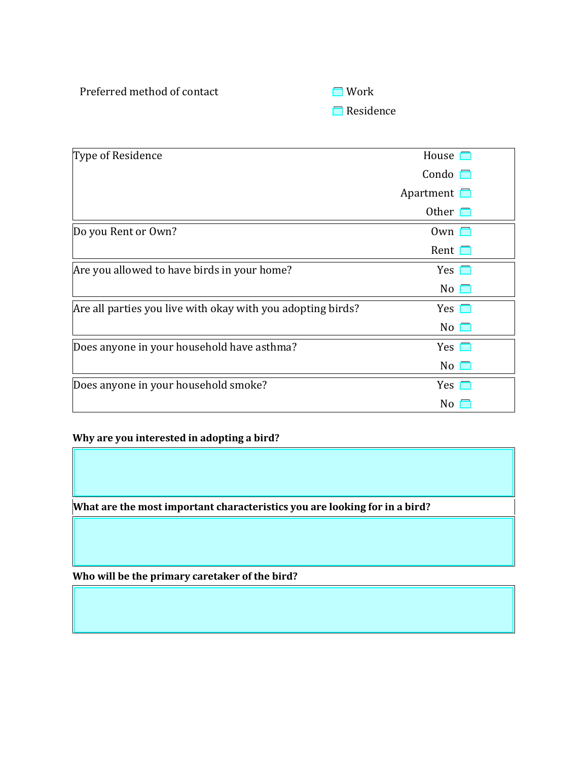| Preferred method of contact | $\Box$ Work |
|-----------------------------|-------------|
|-----------------------------|-------------|

| Wor |  |
|-----|--|
|     |  |

☐ Residence

| Type of Residence                                           | House $\Box$     |
|-------------------------------------------------------------|------------------|
|                                                             | Condo $\Box$     |
|                                                             | Apartment $\Box$ |
|                                                             | Other $\Box$     |
| Do you Rent or Own?                                         | $0$ wn $\Box$    |
|                                                             | Rent $\Box$      |
| Are you allowed to have birds in your home?                 | Yes $\Box$       |
|                                                             | $No \square$     |
| Are all parties you live with okay with you adopting birds? | Yes $\Box$       |
|                                                             | $No \Box$        |
| Does anyone in your household have asthma?                  | Yes $\Box$       |
|                                                             | $No \square$     |
| Does anyone in your household smoke?                        | Yes $\Box$       |
|                                                             | $No \square$     |

## **Why are you interested in adopting a bird?**

**What are the most important characteristics you are looking for in a bird?**

**Who will be the primary caretaker of the bird?**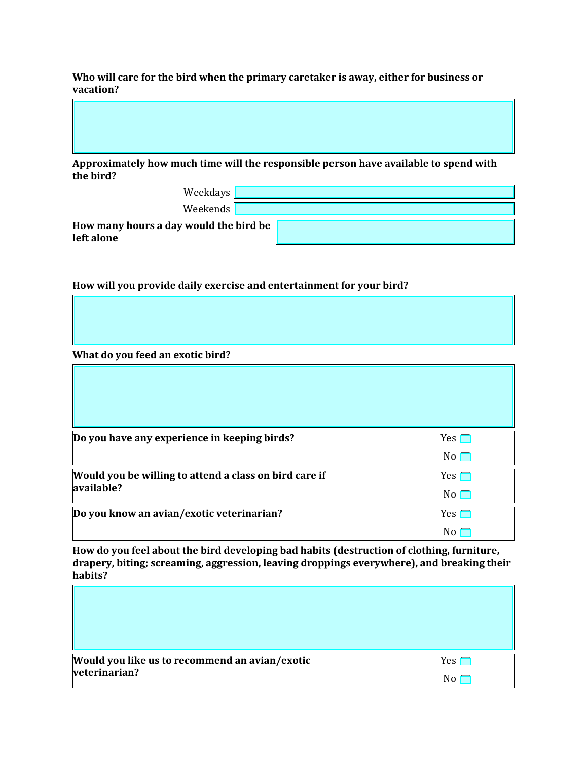**Who will care for the bird when the primary caretaker is away, either for business or vacation?**

**Approximately how much time will the responsible person have available to spend with the bird?** Weekdays<sup>[1]</sup>

| .                                                    |  |
|------------------------------------------------------|--|
| Weekends                                             |  |
| How many hours a day would the bird be<br>left alone |  |

**How will you provide daily exercise and entertainment for your bird?**

**What do you feed an exotic bird?**

ř.

| Do you have any experience in keeping birds?           | $Yes \Box$   |
|--------------------------------------------------------|--------------|
|                                                        | No           |
| Would you be willing to attend a class on bird care if | $Yes \Box$   |
| available?                                             | No           |
| Do you know an avian/exotic veterinarian?              | $Yes \Box$   |
|                                                        | $No \square$ |

**How do you feel about the bird developing bad habits (destruction of clothing, furniture, drapery, biting; screaming, aggression, leaving droppings everywhere), and breaking their habits?**

| Would you like us to recommend an avian/exotic | $Yes \Box$ |
|------------------------------------------------|------------|
| veterinarian?                                  | No         |